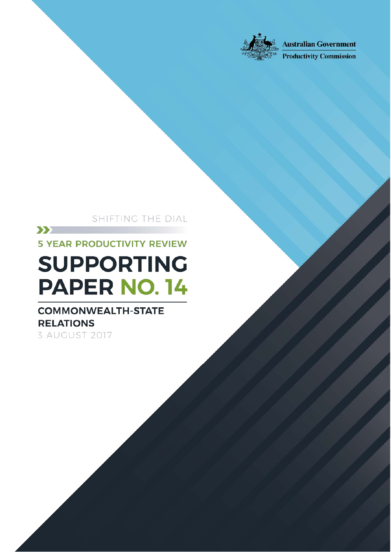

Improving Commonwealth-State relationship Commonwealth-State relationship

Shifting the Dial: 5 year Productivity Review —Canberra, August 2017

**Australian Government** 

**Productivity Commission** 

# SHIFTING THE DIAL

**5 YEAR PRODUCTIVITY REVIEW** 

 $\sum$ 

# **SUPPORTING PAPER NO. 14**

# **COMMONWEALTH-STATE RELATIONS** 3 AUGUST 2017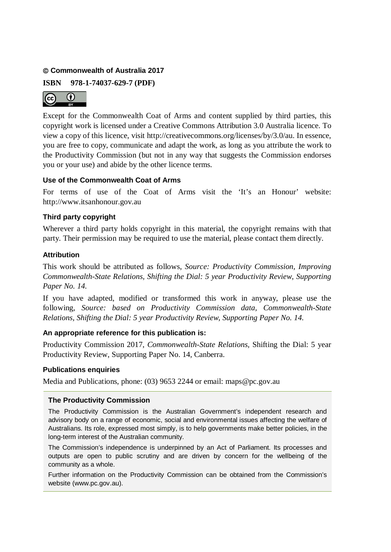#### **Commonwealth of Australia 2017**

**ISBN 978-1-74037-629-7 (PDF)**



Except for the Commonwealth Coat of Arms and content supplied by third parties, this copyright work is licensed under a Creative Commons Attribution 3.0 Australia licence. To view a copy of this licence, visit http://creativecommons.org/licenses/by/3.0/au. In essence, you are free to copy, communicate and adapt the work, as long as you attribute the work to the Productivity Commission (but not in any way that suggests the Commission endorses you or your use) and abide by the other licence terms.

# **Use of the Commonwealth Coat of Arms**

For terms of use of the Coat of Arms visit the 'It's an Honour' website: http://www.itsanhonour.gov.au

# **Third party copyright**

Wherever a third party holds copyright in this material, the copyright remains with that party. Their permission may be required to use the material, please contact them directly.

# **Attribution**

This work should be attributed as follows, *Source: Productivity Commission, Improving Commonwealth-State Relations, Shifting the Dial: 5 year Productivity Review, Supporting Paper No. 14.*

If you have adapted, modified or transformed this work in anyway, please use the following, *Source: based on Productivity Commission data, Commonwealth-State Relations, Shifting the Dial: 5 year Productivity Review*, *Supporting Paper No. 14.*

# **An appropriate reference for this publication is:**

Productivity Commission 2017, *Commonwealth-State Relations,* Shifting the Dial: 5 year Productivity Review, Supporting Paper No. 14, Canberra.

#### **Publications enquiries**

Media and Publications, phone: (03) 9653 2244 or email: maps@pc.gov.au

# **The Productivity Commission**

The Productivity Commission is the Australian Government's independent research and advisory body on a range of economic, social and environmental issues affecting the welfare of Australians. Its role, expressed most simply, is to help governments make better policies, in the long-term interest of the Australian community.

The Commission's independence is underpinned by an Act of Parliament. Its processes and outputs are open to public scrutiny and are driven by concern for the wellbeing of the community as a whole.

Further information on the Productivity Commission can be obtained from the Commission's website (www.pc.gov.au).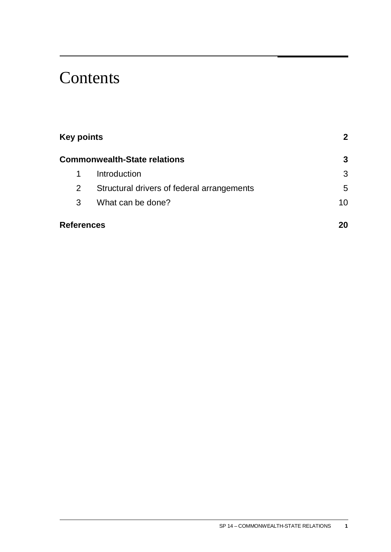# **Contents**

| <b>Key points</b><br><b>Commonwealth-State relations</b> |                                            | 2<br>3 |
|----------------------------------------------------------|--------------------------------------------|--------|
|                                                          |                                            |        |
| 2                                                        | Structural drivers of federal arrangements | 5      |
| 3                                                        | What can be done?                          | 10     |
| <b>References</b>                                        |                                            | 20     |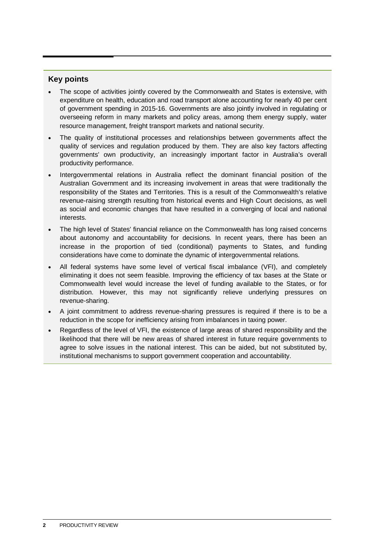# <span id="page-3-0"></span>**Key points**

- The scope of activities jointly covered by the Commonwealth and States is extensive, with expenditure on health, education and road transport alone accounting for nearly 40 per cent of government spending in 2015-16. Governments are also jointly involved in regulating or overseeing reform in many markets and policy areas, among them energy supply, water resource management, freight transport markets and national security.
- The quality of institutional processes and relationships between governments affect the quality of services and regulation produced by them. They are also key factors affecting governments' own productivity, an increasingly important factor in Australia's overall productivity performance.
- Intergovernmental relations in Australia reflect the dominant financial position of the Australian Government and its increasing involvement in areas that were traditionally the responsibility of the States and Territories. This is a result of the Commonwealth's relative revenue-raising strength resulting from historical events and High Court decisions, as well as social and economic changes that have resulted in a converging of local and national interests.
- The high level of States' financial reliance on the Commonwealth has long raised concerns about autonomy and accountability for decisions. In recent years, there has been an increase in the proportion of tied (conditional) payments to States, and funding considerations have come to dominate the dynamic of intergovernmental relations.
- All federal systems have some level of vertical fiscal imbalance (VFI), and completely eliminating it does not seem feasible. Improving the efficiency of tax bases at the State or Commonwealth level would increase the level of funding available to the States, or for distribution. However, this may not significantly relieve underlying pressures on revenue-sharing.
- A joint commitment to address revenue-sharing pressures is required if there is to be a reduction in the scope for inefficiency arising from imbalances in taxing power.
- Regardless of the level of VFI, the existence of large areas of shared responsibility and the likelihood that there will be new areas of shared interest in future require governments to agree to solve issues in the national interest. This can be aided, but not substituted by, institutional mechanisms to support government cooperation and accountability.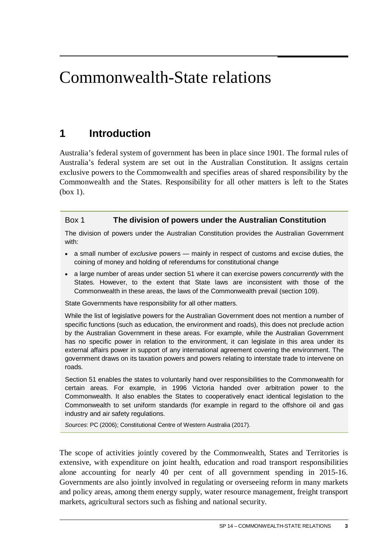# <span id="page-4-0"></span>Commonwealth-State relations

# **1 Introduction**

Australia's federal system of government has been in place since 1901. The formal rules of Australia's federal system are set out in the Australian Constitution. It assigns certain exclusive powers to the Commonwealth and specifies areas of shared responsibility by the Commonwealth and the States. Responsibility for all other matters is left to the States (box 1).

# Box 1 **The division of powers under the Australian Constitution**

The division of powers under the Australian Constitution provides the Australian Government with:

- a small number of *exclusive* powers mainly in respect of customs and excise duties, the coining of money and holding of referendums for constitutional change
- a large number of areas under section 51 where it can exercise powers *concurrently* with the States. However, to the extent that State laws are inconsistent with those of the Commonwealth in these areas, the laws of the Commonwealth prevail (section 109).

State Governments have responsibility for all other matters.

While the list of legislative powers for the Australian Government does not mention a number of specific functions (such as education, the environment and roads), this does not preclude action by the Australian Government in these areas. For example, while the Australian Government has no specific power in relation to the environment, it can legislate in this area under its external affairs power in support of any international agreement covering the environment. The government draws on its taxation powers and powers relating to interstate trade to intervene on roads.

Section 51 enables the states to voluntarily hand over responsibilities to the Commonwealth for certain areas. For example, in 1996 Victoria handed over arbitration power to the Commonwealth. It also enables the States to cooperatively enact identical legislation to the Commonwealth to set uniform standards (for example in regard to the offshore oil and gas industry and air safety regulations.

*Sources*: PC (2006); Constitutional Centre of Western Australia (2017).

The scope of activities jointly covered by the Commonwealth, States and Territories is extensive, with expenditure on joint health, education and road transport responsibilities alone accounting for nearly 40 per cent of all government spending in 2015-16. Governments are also jointly involved in regulating or overseeing reform in many markets and policy areas, among them energy supply, water resource management, freight transport markets, agricultural sectors such as fishing and national security.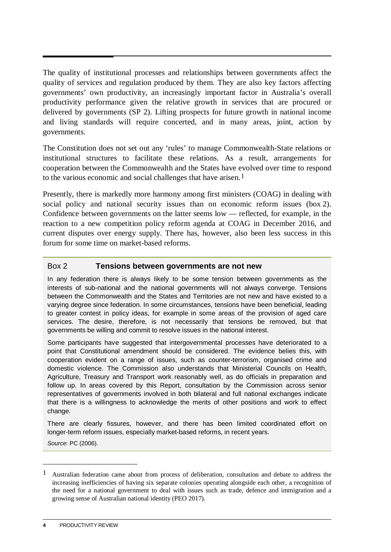The quality of institutional processes and relationships between governments affect the quality of services and regulation produced by them. They are also key factors affecting governments' own productivity, an increasingly important factor in Australia's overall productivity performance given the relative growth in services that are procured or delivered by governments (SP 2). Lifting prospects for future growth in national income and living standards will require concerted, and in many areas, joint, action by governments.

The Constitution does not set out any 'rules' to manage Commonwealth-State relations or institutional structures to facilitate these relations. As a result, arrangements for cooperation between the Commonwealth and the States have evolved over time to respond to the various economic and social challenges that have arisen.<sup>[1](#page-5-0)</sup>

Presently, there is markedly more harmony among first ministers (COAG) in dealing with social policy and national security issues than on economic reform issues (box 2). Confidence between governments on the latter seems low — reflected, for example, in the reaction to a new competition policy reform agenda at COAG in December 2016, and current disputes over energy supply. There has, however, also been less success in this forum for some time on market-based reforms.

# Box 2 **Tensions between governments are not new**

In any federation there is always likely to be some tension between governments as the interests of sub-national and the national governments will not always converge. Tensions between the Commonwealth and the States and Territories are not new and have existed to a varying degree since federation. In some circumstances, tensions have been beneficial, leading to greater contest in policy ideas, for example in some areas of the provision of aged care services. The desire, therefore, is not necessarily that tensions be removed, but that governments be willing and commit to resolve issues in the national interest.

Some participants have suggested that intergovernmental processes have deteriorated to a point that Constitutional amendment should be considered. The evidence belies this, with cooperation evident on a range of issues, such as counter-terrorism, organised crime and domestic violence. The Commission also understands that Ministerial Councils on Health, Agriculture, Treasury and Transport work reasonably well, as do officials in preparation and follow up. In areas covered by this Report, consultation by the Commission across senior representatives of governments involved in both bilateral and full national exchanges indicate that there is a willingness to acknowledge the merits of other positions and work to effect change.

There are clearly fissures, however, and there has been limited coordinated effort on longer-term reform issues, especially market-based reforms, in recent years.

*Source*: PC (2006).

<u>.</u>

<span id="page-5-0"></span><sup>1</sup> Australian federation came about from process of deliberation, consultation and debate to address the increasing inefficiencies of having six separate colonies operating alongside each other, a recognition of the need for a national government to deal with issues such as trade, defence and immigration and a growing sense of Australian national identity (PEO 2017).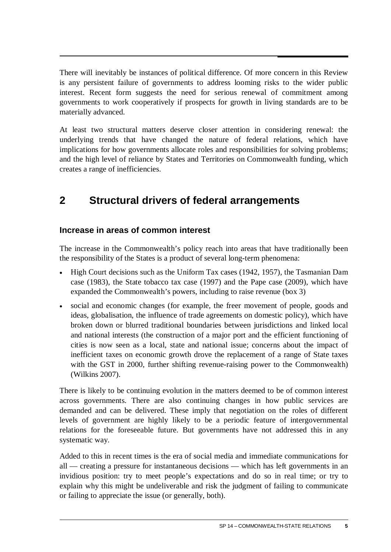There will inevitably be instances of political difference. Of more concern in this Review is any persistent failure of governments to address looming risks to the wider public interest. Recent form suggests the need for serious renewal of commitment among governments to work cooperatively if prospects for growth in living standards are to be materially advanced.

At least two structural matters deserve closer attention in considering renewal: the underlying trends that have changed the nature of federal relations, which have implications for how governments allocate roles and responsibilities for solving problems; and the high level of reliance by States and Territories on Commonwealth funding, which creates a range of inefficiencies.

# **2 Structural drivers of federal arrangements**

# **Increase in areas of common interest**

The increase in the Commonwealth's policy reach into areas that have traditionally been the responsibility of the States is a product of several long-term phenomena:

- High Court decisions such as the Uniform Tax cases (1942, 1957), the Tasmanian Dam case (1983), the State tobacco tax case (1997) and the Pape case (2009), which have expanded the Commonwealth's powers, including to raise revenue (box 3)
- social and economic changes (for example, the freer movement of people, goods and ideas, globalisation, the influence of trade agreements on domestic policy), which have broken down or blurred traditional boundaries between jurisdictions and linked local and national interests (the construction of a major port and the efficient functioning of cities is now seen as a local, state and national issue; concerns about the impact of inefficient taxes on economic growth drove the replacement of a range of State taxes with the GST in 2000, further shifting revenue-raising power to the Commonwealth) (Wilkins 2007).

There is likely to be continuing evolution in the matters deemed to be of common interest across governments. There are also continuing changes in how public services are demanded and can be delivered. These imply that negotiation on the roles of different levels of government are highly likely to be a periodic feature of intergovernmental relations for the foreseeable future. But governments have not addressed this in any systematic way.

Added to this in recent times is the era of social media and immediate communications for all — creating a pressure for instantaneous decisions — which has left governments in an invidious position: try to meet people's expectations and do so in real time; or try to explain why this might be undeliverable and risk the judgment of failing to communicate or failing to appreciate the issue (or generally, both).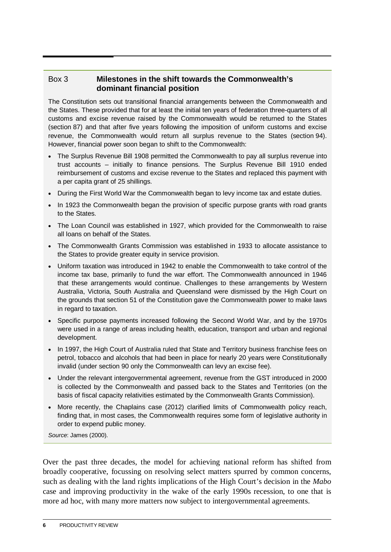# Box 3 **Milestones in the shift towards the Commonwealth's dominant financial position**

The Constitution sets out transitional financial arrangements between the Commonwealth and the States. These provided that for at least the initial ten years of federation three-quarters of all customs and excise revenue raised by the Commonwealth would be returned to the States (section 87) and that after five years following the imposition of uniform customs and excise revenue, the Commonwealth would return all surplus revenue to the States (section 94). However, financial power soon began to shift to the Commonwealth:

- The Surplus Revenue Bill 1908 permitted the Commonwealth to pay all surplus revenue into trust accounts – initially to finance pensions. The Surplus Revenue Bill 1910 ended reimbursement of customs and excise revenue to the States and replaced this payment with a per capita grant of 25 shillings.
- During the First World War the Commonwealth began to levy income tax and estate duties.
- In 1923 the Commonwealth began the provision of specific purpose grants with road grants to the States.
- The Loan Council was established in 1927, which provided for the Commonwealth to raise all loans on behalf of the States.
- The Commonwealth Grants Commission was established in 1933 to allocate assistance to the States to provide greater equity in service provision.
- Uniform taxation was introduced in 1942 to enable the Commonwealth to take control of the income tax base, primarily to fund the war effort. The Commonwealth announced in 1946 that these arrangements would continue. Challenges to these arrangements by Western Australia, Victoria, South Australia and Queensland were dismissed by the High Court on the grounds that section 51 of the Constitution gave the Commonwealth power to make laws in regard to taxation.
- Specific purpose payments increased following the Second World War, and by the 1970s were used in a range of areas including health, education, transport and urban and regional development.
- In 1997, the High Court of Australia ruled that State and Territory business franchise fees on petrol, tobacco and alcohols that had been in place for nearly 20 years were Constitutionally invalid (under section 90 only the Commonwealth can levy an excise fee).
- Under the relevant intergovernmental agreement, revenue from the GST introduced in 2000 is collected by the Commonwealth and passed back to the States and Territories (on the basis of fiscal capacity relativities estimated by the Commonwealth Grants Commission).
- More recently, the Chaplains case (2012) clarified limits of Commonwealth policy reach, finding that, in most cases, the Commonwealth requires some form of legislative authority in order to expend public money.

*Source*: James (2000).

Over the past three decades, the model for achieving national reform has shifted from broadly cooperative, focussing on resolving select matters spurred by common concerns, such as dealing with the land rights implications of the High Court's decision in the *Mabo* case and improving productivity in the wake of the early 1990s recession, to one that is more ad hoc, with many more matters now subject to intergovernmental agreements.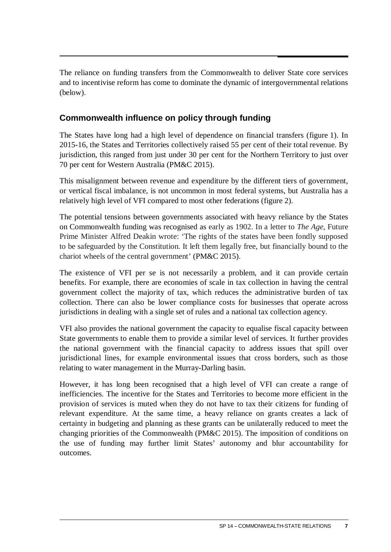The reliance on funding transfers from the Commonwealth to deliver State core services and to incentivise reform has come to dominate the dynamic of intergovernmental relations (below).

# **Commonwealth influence on policy through funding**

The States have long had a high level of dependence on financial transfers (figure 1). In 2015-16, the States and Territories collectively raised 55 per cent of their total revenue. By jurisdiction, this ranged from just under 30 per cent for the Northern Territory to just over 70 per cent for Western Australia (PM&C 2015).

This misalignment between revenue and expenditure by the different tiers of government, or vertical fiscal imbalance, is not uncommon in most federal systems, but Australia has a relatively high level of VFI compared to most other federations (figure 2).

The potential tensions between governments associated with heavy reliance by the States on Commonwealth funding was recognised as early as 1902. In a letter to *The Age*, Future Prime Minister Alfred Deakin wrote: 'The rights of the states have been fondly supposed to be safeguarded by the Constitution. It left them legally free, but financially bound to the chariot wheels of the central government' (PM&C 2015).

The existence of VFI per se is not necessarily a problem, and it can provide certain benefits. For example, there are economies of scale in tax collection in having the central government collect the majority of tax, which reduces the administrative burden of tax collection. There can also be lower compliance costs for businesses that operate across jurisdictions in dealing with a single set of rules and a national tax collection agency.

VFI also provides the national government the capacity to equalise fiscal capacity between State governments to enable them to provide a similar level of services. It further provides the national government with the financial capacity to address issues that spill over jurisdictional lines, for example environmental issues that cross borders, such as those relating to water management in the Murray-Darling basin.

However, it has long been recognised that a high level of VFI can create a range of inefficiencies. The incentive for the States and Territories to become more efficient in the provision of services is muted when they do not have to tax their citizens for funding of relevant expenditure. At the same time, a heavy reliance on grants creates a lack of certainty in budgeting and planning as these grants can be unilaterally reduced to meet the changing priorities of the Commonwealth (PM&C 2015). The imposition of conditions on the use of funding may further limit States' autonomy and blur accountability for outcomes.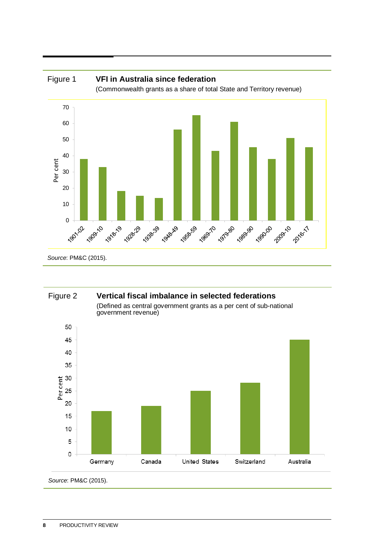

# Figure 2 **Vertical fiscal imbalance in selected federations**

(Defined as central government grants as a per cent of sub-national government revenue)



*Source*: PM&C (2015).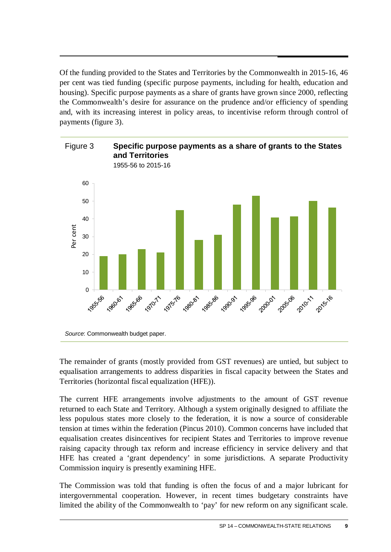Of the funding provided to the States and Territories by the Commonwealth in 2015-16, 46 per cent was tied funding (specific purpose payments, including for health, education and housing). Specific purpose payments as a share of grants have grown since 2000, reflecting the Commonwealth's desire for assurance on the prudence and/or efficiency of spending and, with its increasing interest in policy areas, to incentivise reform through control of payments (figure 3).



The remainder of grants (mostly provided from GST revenues) are untied, but subject to equalisation arrangements to address disparities in fiscal capacity between the States and Territories (horizontal fiscal equalization (HFE)).

The current HFE arrangements involve adjustments to the amount of GST revenue returned to each State and Territory. Although a system originally designed to affiliate the less populous states more closely to the federation, it is now a source of considerable tension at times within the federation (Pincus 2010). Common concerns have included that equalisation creates disincentives for recipient States and Territories to improve revenue raising capacity through tax reform and increase efficiency in service delivery and that HFE has created a 'grant dependency' in some jurisdictions. A separate Productivity Commission inquiry is presently examining HFE.

The Commission was told that funding is often the focus of and a major lubricant for intergovernmental cooperation. However, in recent times budgetary constraints have limited the ability of the Commonwealth to 'pay' for new reform on any significant scale.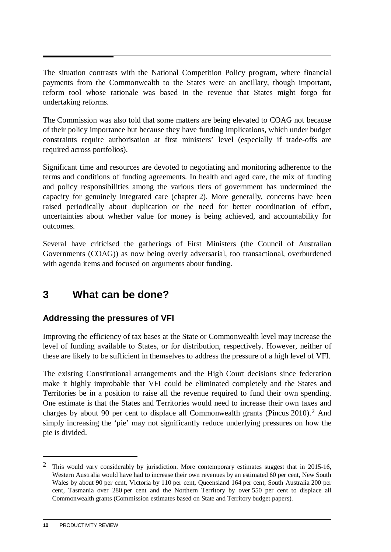<span id="page-11-0"></span>The situation contrasts with the National Competition Policy program, where financial payments from the Commonwealth to the States were an ancillary, though important, reform tool whose rationale was based in the revenue that States might forgo for undertaking reforms.

The Commission was also told that some matters are being elevated to COAG not because of their policy importance but because they have funding implications, which under budget constraints require authorisation at first ministers' level (especially if trade-offs are required across portfolios).

Significant time and resources are devoted to negotiating and monitoring adherence to the terms and conditions of funding agreements. In health and aged care, the mix of funding and policy responsibilities among the various tiers of government has undermined the capacity for genuinely integrated care (chapter 2). More generally, concerns have been raised periodically about duplication or the need for better coordination of effort, uncertainties about whether value for money is being achieved, and accountability for outcomes.

Several have criticised the gatherings of First Ministers (the Council of Australian Governments (COAG)) as now being overly adversarial, too transactional, overburdened with agenda items and focused on arguments about funding.

# **3 What can be done?**

# **Addressing the pressures of VFI**

Improving the efficiency of tax bases at the State or Commonwealth level may increase the level of funding available to States, or for distribution, respectively. However, neither of these are likely to be sufficient in themselves to address the pressure of a high level of VFI.

The existing Constitutional arrangements and the High Court decisions since federation make it highly improbable that VFI could be eliminated completely and the States and Territories be in a position to raise all the revenue required to fund their own spending. One estimate is that the States and Territories would need to increase their own taxes and charges by about 90 per cent to displace all Commonwealth grants (Pincus 2010)[.2](#page-11-1) And simply increasing the 'pie' may not significantly reduce underlying pressures on how the pie is divided.

<u>.</u>

<span id="page-11-1"></span><sup>2</sup> This would vary considerably by jurisdiction. More contemporary estimates suggest that in 2015-16, Western Australia would have had to increase their own revenues by an estimated 60 per cent, New South Wales by about 90 per cent, Victoria by 110 per cent, Queensland 164 per cent, South Australia 200 per cent, Tasmania over 280 per cent and the Northern Territory by over 550 per cent to displace all Commonwealth grants (Commission estimates based on State and Territory budget papers).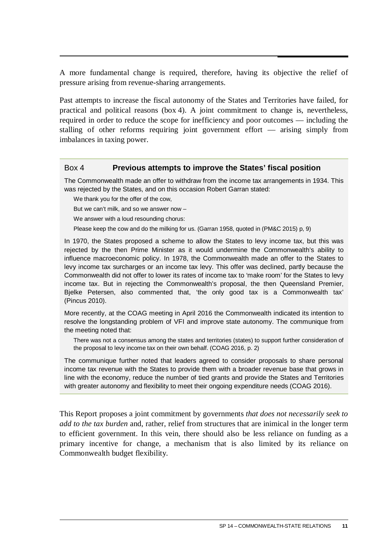A more fundamental change is required, therefore, having its objective the relief of pressure arising from revenue-sharing arrangements.

Past attempts to increase the fiscal autonomy of the States and Territories have failed, for practical and political reasons (box 4). A joint commitment to change is, nevertheless, required in order to reduce the scope for inefficiency and poor outcomes — including the stalling of other reforms requiring joint government effort — arising simply from imbalances in taxing power.

# Box 4 **Previous attempts to improve the States' fiscal position**

The Commonwealth made an offer to withdraw from the income tax arrangements in 1934. This was rejected by the States, and on this occasion Robert Garran stated:

We thank you for the offer of the cow.

But we can't milk, and so we answer now –

We answer with a loud resounding chorus:

Please keep the cow and do the milking for us. (Garran 1958, quoted in (PM&C 2015) p, 9)

In 1970, the States proposed a scheme to allow the States to levy income tax, but this was rejected by the then Prime Minister as it would undermine the Commonwealth's ability to influence macroeconomic policy. In 1978, the Commonwealth made an offer to the States to levy income tax surcharges or an income tax levy. This offer was declined, partly because the Commonwealth did not offer to lower its rates of income tax to 'make room' for the States to levy income tax. But in rejecting the Commonwealth's proposal, the then Queensland Premier, Bjelke Petersen, also commented that, 'the only good tax is a Commonwealth tax' (Pincus 2010).

More recently, at the COAG meeting in April 2016 the Commonwealth indicated its intention to resolve the longstanding problem of VFI and improve state autonomy. The communique from the meeting noted that:

There was not a consensus among the states and territories (states) to support further consideration of the proposal to levy income tax on their own behalf. (COAG 2016, p. 2)

The communique further noted that leaders agreed to consider proposals to share personal income tax revenue with the States to provide them with a broader revenue base that grows in line with the economy, reduce the number of tied grants and provide the States and Territories with greater autonomy and flexibility to meet their ongoing expenditure needs (COAG 2016).

This Report proposes a joint commitment by governments *that does not necessarily seek to add to the tax burden* and, rather, relief from structures that are inimical in the longer term to efficient government. In this vein, there should also be less reliance on funding as a primary incentive for change, a mechanism that is also limited by its reliance on Commonwealth budget flexibility.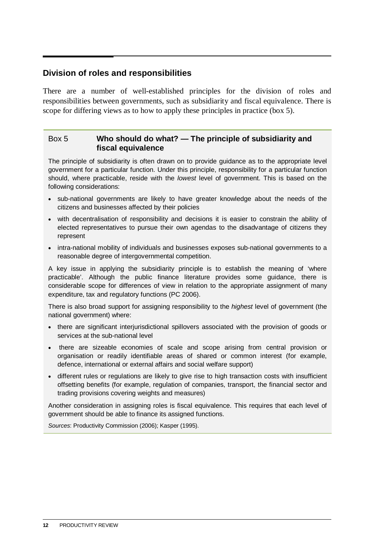# **Division of roles and responsibilities**

There are a number of well-established principles for the division of roles and responsibilities between governments, such as subsidiarity and fiscal equivalence. There is scope for differing views as to how to apply these principles in practice (box 5).

# Box 5 **Who should do what? — The principle of subsidiarity and fiscal equivalence**

The principle of subsidiarity is often drawn on to provide guidance as to the appropriate level government for a particular function. Under this principle, responsibility for a particular function should, where practicable, reside with the *lowest* level of government. This is based on the following considerations:

- sub-national governments are likely to have greater knowledge about the needs of the citizens and businesses affected by their policies
- with decentralisation of responsibility and decisions it is easier to constrain the ability of elected representatives to pursue their own agendas to the disadvantage of citizens they represent
- intra-national mobility of individuals and businesses exposes sub-national governments to a reasonable degree of intergovernmental competition.

A key issue in applying the subsidiarity principle is to establish the meaning of 'where practicable'. Although the public finance literature provides some guidance, there is considerable scope for differences of view in relation to the appropriate assignment of many expenditure, tax and regulatory functions (PC 2006).

There is also broad support for assigning responsibility to the *highest* level of government (the national government) where:

- there are significant interjurisdictional spillovers associated with the provision of goods or services at the sub-national level
- there are sizeable economies of scale and scope arising from central provision or organisation or readily identifiable areas of shared or common interest (for example, defence, international or external affairs and social welfare support)
- different rules or regulations are likely to give rise to high transaction costs with insufficient offsetting benefits (for example, regulation of companies, transport, the financial sector and trading provisions covering weights and measures)

Another consideration in assigning roles is fiscal equivalence. This requires that each level of government should be able to finance its assigned functions.

*Sources*: Productivity Commission (2006); Kasper (1995).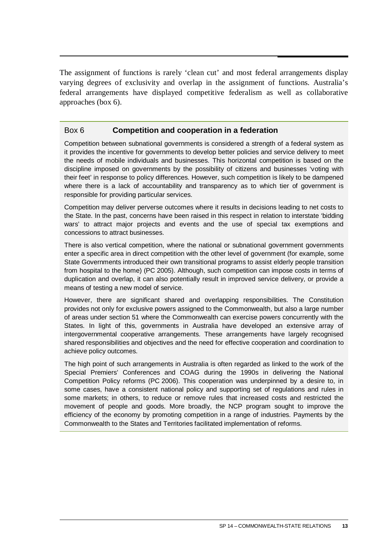The assignment of functions is rarely 'clean cut' and most federal arrangements display varying degrees of exclusivity and overlap in the assignment of functions. Australia's federal arrangements have displayed competitive federalism as well as collaborative approaches (box 6).

# Box 6 **Competition and cooperation in a federation**

Competition between subnational governments is considered a strength of a federal system as it provides the incentive for governments to develop better policies and service delivery to meet the needs of mobile individuals and businesses. This horizontal competition is based on the discipline imposed on governments by the possibility of citizens and businesses 'voting with their feet' in response to policy differences. However, such competition is likely to be dampened where there is a lack of accountability and transparency as to which tier of government is responsible for providing particular services.

Competition may deliver perverse outcomes where it results in decisions leading to net costs to the State. In the past, concerns have been raised in this respect in relation to interstate 'bidding wars' to attract major projects and events and the use of special tax exemptions and concessions to attract businesses.

There is also vertical competition, where the national or subnational government governments enter a specific area in direct competition with the other level of government (for example, some State Governments introduced their own transitional programs to assist elderly people transition from hospital to the home) (PC 2005). Although, such competition can impose costs in terms of duplication and overlap, it can also potentially result in improved service delivery, or provide a means of testing a new model of service.

However, there are significant shared and overlapping responsibilities. The Constitution provides not only for exclusive powers assigned to the Commonwealth, but also a large number of areas under section 51 where the Commonwealth can exercise powers concurrently with the States. In light of this, governments in Australia have developed an extensive array of intergovernmental cooperative arrangements. These arrangements have largely recognised shared responsibilities and objectives and the need for effective cooperation and coordination to achieve policy outcomes.

The high point of such arrangements in Australia is often regarded as linked to the work of the Special Premiers' Conferences and COAG during the 1990s in delivering the National Competition Policy reforms (PC 2006). This cooperation was underpinned by a desire to, in some cases, have a consistent national policy and supporting set of regulations and rules in some markets; in others, to reduce or remove rules that increased costs and restricted the movement of people and goods. More broadly, the NCP program sought to improve the efficiency of the economy by promoting competition in a range of industries. Payments by the Commonwealth to the States and Territories facilitated implementation of reforms.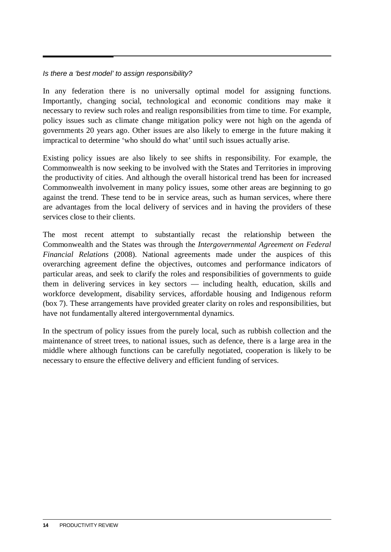# *Is there a 'best model' to assign responsibility?*

In any federation there is no universally optimal model for assigning functions. Importantly, changing social, technological and economic conditions may make it necessary to review such roles and realign responsibilities from time to time. For example, policy issues such as climate change mitigation policy were not high on the agenda of governments 20 years ago. Other issues are also likely to emerge in the future making it impractical to determine 'who should do what' until such issues actually arise.

Existing policy issues are also likely to see shifts in responsibility. For example, the Commonwealth is now seeking to be involved with the States and Territories in improving the productivity of cities. And although the overall historical trend has been for increased Commonwealth involvement in many policy issues, some other areas are beginning to go against the trend. These tend to be in service areas, such as human services, where there are advantages from the local delivery of services and in having the providers of these services close to their clients.

The most recent attempt to substantially recast the relationship between the Commonwealth and the States was through the *Intergovernmental Agreement on Federal Financial Relations* (2008). National agreements made under the auspices of this overarching agreement define the objectives, outcomes and performance indicators of particular areas, and seek to clarify the roles and responsibilities of governments to guide them in delivering services in key sectors — including health, education, skills and workforce development, disability services, affordable housing and Indigenous reform (box 7). These arrangements have provided greater clarity on roles and responsibilities, but have not fundamentally altered intergovernmental dynamics.

In the spectrum of policy issues from the purely local, such as rubbish collection and the maintenance of street trees, to national issues, such as defence, there is a large area in the middle where although functions can be carefully negotiated, cooperation is likely to be necessary to ensure the effective delivery and efficient funding of services.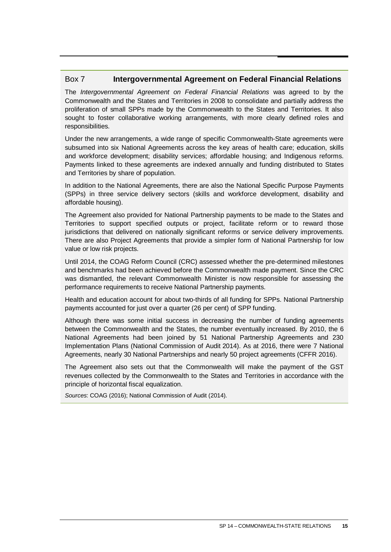# Box 7 **Intergovernmental Agreement on Federal Financial Relations**

The *Intergovernmental Agreement on Federal Financial Relations* was agreed to by the Commonwealth and the States and Territories in 2008 to consolidate and partially address the proliferation of small SPPs made by the Commonwealth to the States and Territories. It also sought to foster collaborative working arrangements, with more clearly defined roles and responsibilities.

Under the new arrangements, a wide range of specific Commonwealth-State agreements were subsumed into six National Agreements across the key areas of health care; education, skills and workforce development; disability services; affordable housing; and Indigenous reforms. Payments linked to these agreements are indexed annually and funding distributed to States and Territories by share of population.

In addition to the National Agreements, there are also the National Specific Purpose Payments (SPPs) in three service delivery sectors (skills and workforce development, disability and affordable housing).

The Agreement also provided for National Partnership payments to be made to the States and Territories to support specified outputs or project, facilitate reform or to reward those jurisdictions that delivered on nationally significant reforms or service delivery improvements. There are also Project Agreements that provide a simpler form of National Partnership for low value or low risk projects.

Until 2014, the COAG Reform Council (CRC) assessed whether the pre-determined milestones and benchmarks had been achieved before the Commonwealth made payment. Since the CRC was dismantled, the relevant Commonwealth Minister is now responsible for assessing the performance requirements to receive National Partnership payments.

Health and education account for about two-thirds of all funding for SPPs. National Partnership payments accounted for just over a quarter (26 per cent) of SPP funding.

Although there was some initial success in decreasing the number of funding agreements between the Commonwealth and the States, the number eventually increased. By 2010, the 6 National Agreements had been joined by 51 National Partnership Agreements and 230 Implementation Plans (National Commission of Audit 2014). As at 2016, there were 7 National Agreements, nearly 30 National Partnerships and nearly 50 project agreements (CFFR 2016).

The Agreement also sets out that the Commonwealth will make the payment of the GST revenues collected by the Commonwealth to the States and Territories in accordance with the principle of horizontal fiscal equalization.

*Sources*: COAG (2016); National Commission of Audit (2014).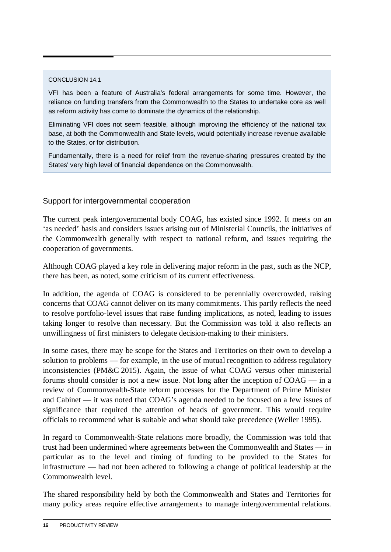#### CONCLUSION 14.1

VFI has been a feature of Australia's federal arrangements for some time. However, the reliance on funding transfers from the Commonwealth to the States to undertake core as well as reform activity has come to dominate the dynamics of the relationship.

Eliminating VFI does not seem feasible, although improving the efficiency of the national tax base, at both the Commonwealth and State levels, would potentially increase revenue available to the States, or for distribution.

Fundamentally, there is a need for relief from the revenue-sharing pressures created by the States' very high level of financial dependence on the Commonwealth.

# Support for intergovernmental cooperation

The current peak intergovernmental body COAG, has existed since 1992. It meets on an 'as needed' basis and considers issues arising out of Ministerial Councils, the initiatives of the Commonwealth generally with respect to national reform, and issues requiring the cooperation of governments.

Although COAG played a key role in delivering major reform in the past, such as the NCP, there has been, as noted, some criticism of its current effectiveness.

In addition, the agenda of COAG is considered to be perennially overcrowded, raising concerns that COAG cannot deliver on its many commitments. This partly reflects the need to resolve portfolio-level issues that raise funding implications, as noted, leading to issues taking longer to resolve than necessary. But the Commission was told it also reflects an unwillingness of first ministers to delegate decision-making to their ministers.

In some cases, there may be scope for the States and Territories on their own to develop a solution to problems — for example, in the use of mutual recognition to address regulatory inconsistencies (PM&C 2015). Again, the issue of what COAG versus other ministerial forums should consider is not a new issue. Not long after the inception of COAG — in a review of Commonwealth-State reform processes for the Department of Prime Minister and Cabinet — it was noted that COAG's agenda needed to be focused on a few issues of significance that required the attention of heads of government. This would require officials to recommend what is suitable and what should take precedence (Weller 1995).

In regard to Commonwealth-State relations more broadly, the Commission was told that trust had been undermined where agreements between the Commonwealth and States — in particular as to the level and timing of funding to be provided to the States for infrastructure — had not been adhered to following a change of political leadership at the Commonwealth level.

The shared responsibility held by both the Commonwealth and States and Territories for many policy areas require effective arrangements to manage intergovernmental relations.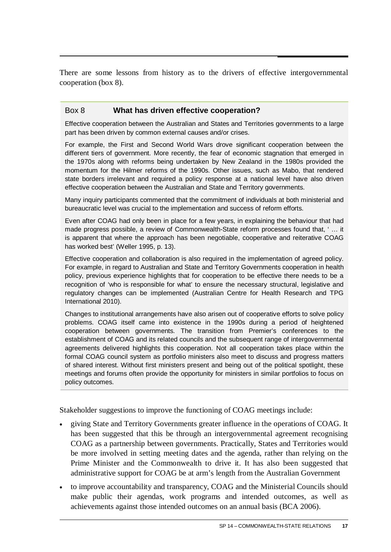There are some lessons from history as to the drivers of effective intergovernmental cooperation (box 8).

# Box 8 **What has driven effective cooperation?**

Effective cooperation between the Australian and States and Territories governments to a large part has been driven by common external causes and/or crises.

For example, the First and Second World Wars drove significant cooperation between the different tiers of government. More recently, the fear of economic stagnation that emerged in the 1970s along with reforms being undertaken by New Zealand in the 1980s provided the momentum for the Hilmer reforms of the 1990s. Other issues, such as Mabo, that rendered state borders irrelevant and required a policy response at a national level have also driven effective cooperation between the Australian and State and Territory governments.

Many inquiry participants commented that the commitment of individuals at both ministerial and bureaucratic level was crucial to the implementation and success of reform efforts.

Even after COAG had only been in place for a few years, in explaining the behaviour that had made progress possible, a review of Commonwealth-State reform processes found that, ' … it is apparent that where the approach has been negotiable, cooperative and reiterative COAG has worked best' (Weller 1995, p. 13).

Effective cooperation and collaboration is also required in the implementation of agreed policy. For example, in regard to Australian and State and Territory Governments cooperation in health policy, previous experience highlights that for cooperation to be effective there needs to be a recognition of 'who is responsible for what' to ensure the necessary structural, legislative and regulatory changes can be implemented (Australian Centre for Health Research and TPG International 2010).

Changes to institutional arrangements have also arisen out of cooperative efforts to solve policy problems. COAG itself came into existence in the 1990s during a period of heightened cooperation between governments. The transition from Premier's conferences to the establishment of COAG and its related councils and the subsequent range of intergovernmental agreements delivered highlights this cooperation. Not all cooperation takes place within the formal COAG council system as portfolio ministers also meet to discuss and progress matters of shared interest. Without first ministers present and being out of the political spotlight, these meetings and forums often provide the opportunity for ministers in similar portfolios to focus on policy outcomes.

Stakeholder suggestions to improve the functioning of COAG meetings include:

- giving State and Territory Governments greater influence in the operations of COAG. It has been suggested that this be through an intergovernmental agreement recognising COAG as a partnership between governments. Practically, States and Territories would be more involved in setting meeting dates and the agenda, rather than relying on the Prime Minister and the Commonwealth to drive it. It has also been suggested that administrative support for COAG be at arm's length from the Australian Government
- to improve accountability and transparency, COAG and the Ministerial Councils should make public their agendas, work programs and intended outcomes, as well as achievements against those intended outcomes on an annual basis (BCA 2006).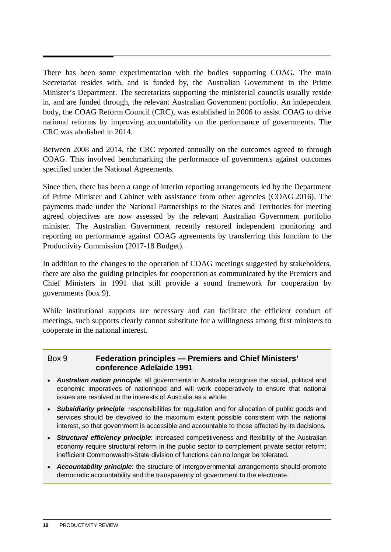There has been some experimentation with the bodies supporting COAG. The main Secretariat resides with, and is funded by, the Australian Government in the Prime Minister's Department. The secretariats supporting the ministerial councils usually reside in, and are funded through, the relevant Australian Government portfolio. An independent body, the COAG Reform Council (CRC), was established in 2006 to assist COAG to drive national reforms by improving accountability on the performance of governments. The CRC was abolished in 2014.

Between 2008 and 2014, the CRC reported annually on the outcomes agreed to through COAG. This involved benchmarking the performance of governments against outcomes specified under the National Agreements.

Since then, there has been a range of interim reporting arrangements led by the Department of Prime Minister and Cabinet with assistance from other agencies (COAG 2016). The payments made under the National Partnerships to the States and Territories for meeting agreed objectives are now assessed by the relevant Australian Government portfolio minister. The Australian Government recently restored independent monitoring and reporting on performance against COAG agreements by transferring this function to the Productivity Commission (2017-18 Budget).

In addition to the changes to the operation of COAG meetings suggested by stakeholders, there are also the guiding principles for cooperation as communicated by the Premiers and Chief Ministers in 1991 that still provide a sound framework for cooperation by governments (box 9).

While institutional supports are necessary and can facilitate the efficient conduct of meetings, such supports clearly cannot substitute for a willingness among first ministers to cooperate in the national interest.

# Box 9 **Federation principles — Premiers and Chief Ministers' conference Adelaide 1991**

- *Australian nation principle*: all governments in Australia recognise the social, political and economic imperatives of nationhood and will work cooperatively to ensure that national issues are resolved in the interests of Australia as a whole.
- *Subsidiarity principle*: responsibilities for regulation and for allocation of public goods and services should be devolved to the maximum extent possible consistent with the national interest, so that government is accessible and accountable to those affected by its decisions.
- *Structural efficiency principle*: increased competitiveness and flexibility of the Australian economy require structural reform in the public sector to complement private sector reform: inefficient Commonwealth-State division of functions can no longer be tolerated.
- *Accountability principle*: the structure of intergovernmental arrangements should promote democratic accountability and the transparency of government to the electorate.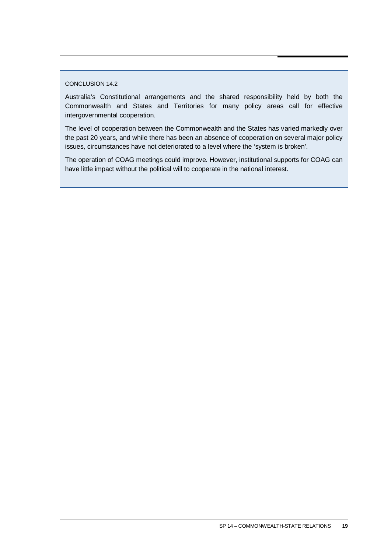#### CONCLUSION 14.2

Australia's Constitutional arrangements and the shared responsibility held by both the Commonwealth and States and Territories for many policy areas call for effective intergovernmental cooperation.

The level of cooperation between the Commonwealth and the States has varied markedly over the past 20 years, and while there has been an absence of cooperation on several major policy issues, circumstances have not deteriorated to a level where the 'system is broken'.

The operation of COAG meetings could improve. However, institutional supports for COAG can have little impact without the political will to cooperate in the national interest.